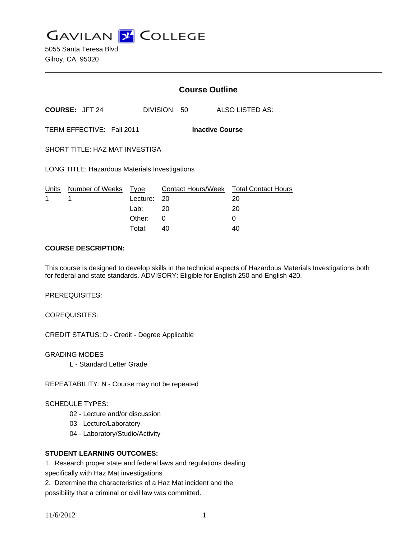**GAVILAN J COLLEGE** 

5055 Santa Teresa Blvd Gilroy, CA 95020

|                                                     |                       | <b>Course Outline</b> |              |                                        |
|-----------------------------------------------------|-----------------------|-----------------------|--------------|----------------------------------------|
|                                                     | <b>COURSE: JFT 24</b> |                       | DIVISION: 50 | ALSO LISTED AS:                        |
| TERM EFFECTIVE: Fall 2011<br><b>Inactive Course</b> |                       |                       |              |                                        |
| SHORT TITLE: HAZ MAT INVESTIGA                      |                       |                       |              |                                        |
| LONG TITLE: Hazardous Materials Investigations      |                       |                       |              |                                        |
|                                                     | Units Number of Weeks | Type                  |              | Contact Hours/Week Total Contact Hours |
| 1                                                   | 1                     | Lecture: 20           |              | 20                                     |
|                                                     |                       | Lab:                  | - 20         | 20                                     |
|                                                     |                       | Other:                | 0            | 0                                      |
|                                                     |                       | Total:                | 40           | 40                                     |

#### **COURSE DESCRIPTION:**

This course is designed to develop skills in the technical aspects of Hazardous Materials Investigations both for federal and state standards. ADVISORY: Eligible for English 250 and English 420.

PREREQUISITES:

COREQUISITES:

CREDIT STATUS: D - Credit - Degree Applicable

GRADING MODES

L - Standard Letter Grade

REPEATABILITY: N - Course may not be repeated

SCHEDULE TYPES:

02 - Lecture and/or discussion

03 - Lecture/Laboratory

04 - Laboratory/Studio/Activity

### **STUDENT LEARNING OUTCOMES:**

1. Research proper state and federal laws and regulations dealing specifically with Haz Mat investigations.

2. Determine the characteristics of a Haz Mat incident and the possibility that a criminal or civil law was committed.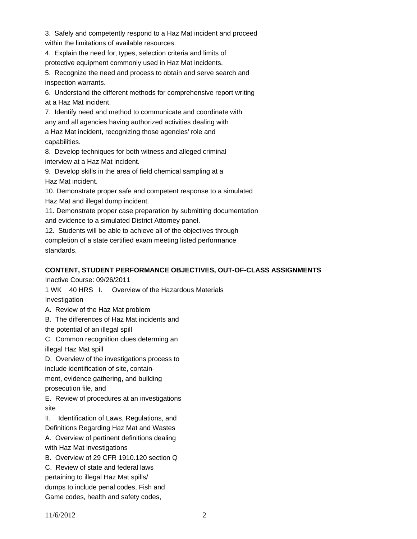3. Safely and competently respond to a Haz Mat incident and proceed within the limitations of available resources.

4. Explain the need for, types, selection criteria and limits of protective equipment commonly used in Haz Mat incidents.

5. Recognize the need and process to obtain and serve search and inspection warrants.

6. Understand the different methods for comprehensive report writing at a Haz Mat incident.

7. Identify need and method to communicate and coordinate with any and all agencies having authorized activities dealing with a Haz Mat incident, recognizing those agencies' role and capabilities.

8. Develop techniques for both witness and alleged criminal interview at a Haz Mat incident.

9. Develop skills in the area of field chemical sampling at a Haz Mat incident.

10. Demonstrate proper safe and competent response to a simulated Haz Mat and illegal dump incident.

11. Demonstrate proper case preparation by submitting documentation and evidence to a simulated District Attorney panel.

12. Students will be able to achieve all of the objectives through completion of a state certified exam meeting listed performance standards.

# **CONTENT, STUDENT PERFORMANCE OBJECTIVES, OUT-OF-CLASS ASSIGNMENTS**

Inactive Course: 09/26/2011

1 WK 40 HRS I. Overview of the Hazardous Materials

Investigation

A. Review of the Haz Mat problem

B. The differences of Haz Mat incidents and

the potential of an illegal spill

C. Common recognition clues determing an illegal Haz Mat spill

D. Overview of the investigations process to

include identification of site, contain-

ment, evidence gathering, and building

prosecution file, and

E. Review of procedures at an investigations site

II. Identification of Laws, Regulations, and Definitions Regarding Haz Mat and Wastes

A. Overview of pertinent definitions dealing with Haz Mat investigations

B. Overview of 29 CFR 1910.120 section Q

C. Review of state and federal laws

pertaining to illegal Haz Mat spills/

dumps to include penal codes, Fish and

Game codes, health and safety codes,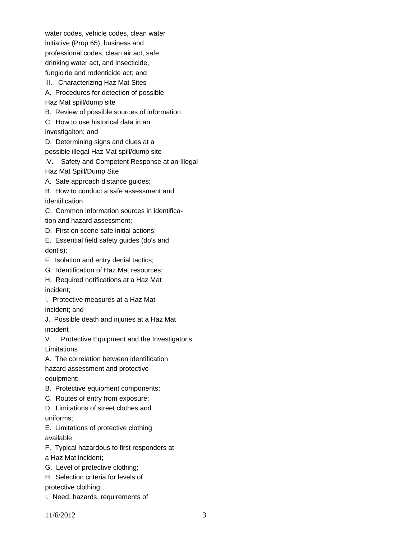water codes, vehicle codes, clean water initiative (Prop 65), business and professional codes, clean air act, safe drinking water act, and insecticide, fungicide and rodenticide act; and

III. Characterizing Haz Mat Sites

A. Procedures for detection of possible Haz Mat spill/dump site

B. Review of possible sources of information

C. How to use historical data in an

investigaiton; and

D. Determining signs and clues at a

possible illegal Haz Mat spill/dump site

IV. Safety and Competent Response at an Illegal Haz Mat Spill/Dump Site

A. Safe approach distance guides;

B. How to conduct a safe assessment and

identification

C. Common information sources in identification and hazard assessment;

D. First on scene safe initial actions;

E. Essential field safety guides (do's and dont's);

F. Isolation and entry denial tactics;

G. Identification of Haz Mat resources;

H. Required notifications at a Haz Mat incident;

I. Protective measures at a Haz Mat incident; and

J. Possible death and injuries at a Haz Mat incident

V. Protective Equipment and the Investigator's Limitations

A. The correlation between identification

hazard assessment and protective equipment;

B. Protective equipment components;

C. Routes of entry from exposure;

D. Limitations of street clothes and uniforms;

E. Limitations of protective clothing

available;

F. Typical hazardous to first responders at

a Haz Mat incident;

G. Level of protective clothing;

H. Selection criteria for levels of protective clothing;

I. Need, hazards, requirements of

11/6/2012 3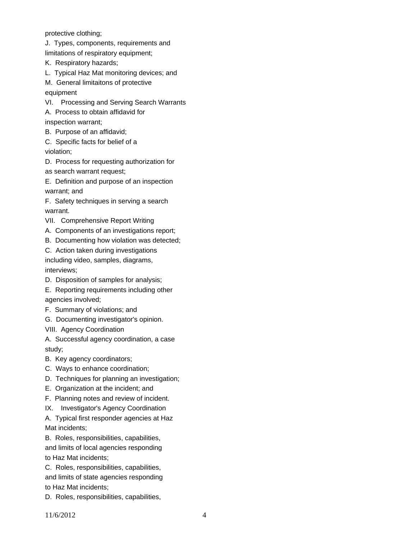protective clothing;

J. Types, components, requirements and

limitations of respiratory equipment;

K. Respiratory hazards;

L. Typical Haz Mat monitoring devices; and

M. General limitaitons of protective equipment

VI. Processing and Serving Search Warrants

A. Process to obtain affidavid for

inspection warrant;

B. Purpose of an affidavid;

C. Specific facts for belief of a violation;

D. Process for requesting authorization for

as search warrant request;

E. Definition and purpose of an inspection warrant; and

F. Safety techniques in serving a search warrant.

VII. Comprehensive Report Writing

A. Components of an investigations report;

B. Documenting how violation was detected;

C. Action taken during investigations

including video, samples, diagrams, interviews;

D. Disposition of samples for analysis;

E. Reporting requirements including other agencies involved;

F. Summary of violations; and

G. Documenting investigator's opinion.

VIII. Agency Coordination

A. Successful agency coordination, a case study;

B. Key agency coordinators;

C. Ways to enhance coordination;

D. Techniques for planning an investigation;

E. Organization at the incident; and

F. Planning notes and review of incident.

IX. Investigator's Agency Coordination

A. Typical first responder agencies at Haz Mat incidents;

B. Roles, responsibilities, capabilities, and limits of local agencies responding

to Haz Mat incidents;

C. Roles, responsibilities, capabilities, and limits of state agencies responding to Haz Mat incidents;

D. Roles, responsibilities, capabilities,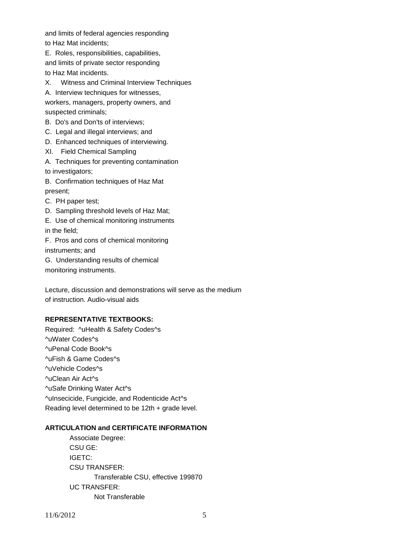and limits of federal agencies responding to Haz Mat incidents;

E. Roles, responsibilities, capabilities, and limits of private sector responding to Haz Mat incidents.

X. Witness and Criminal Interview Techniques

A. Interview techniques for witnesses,

workers, managers, property owners, and suspected criminals;

- B. Do's and Don'ts of interviews;
- C. Legal and illegal interviews; and
- D. Enhanced techniques of interviewing.
- XI. Field Chemical Sampling
- A. Techniques for preventing contamination to investigators;
- B. Confirmation techniques of Haz Mat present;
- C. PH paper test;
- D. Sampling threshold levels of Haz Mat;
- E. Use of chemical monitoring instruments

in the field;

F. Pros and cons of chemical monitoring instruments; and

G. Understanding results of chemical monitoring instruments.

Lecture, discussion and demonstrations will serve as the medium of instruction. Audio-visual aids

#### **REPRESENTATIVE TEXTBOOKS:**

Required: ^uHealth & Safety Codes^s ^uWater Codes^s ^uPenal Code Book^s ^uFish & Game Codes^s ^uVehicle Codes^s ^uClean Air Act^s ^uSafe Drinking Water Act^s ^uInsecicide, Fungicide, and Rodenticide Act^s Reading level determined to be 12th + grade level.

#### **ARTICULATION and CERTIFICATE INFORMATION**

 Transferable CSU, effective 199870 UC TRANSFER: Not Transferable Associate Degree: CSU GE: IGETC: CSU TRANSFER: